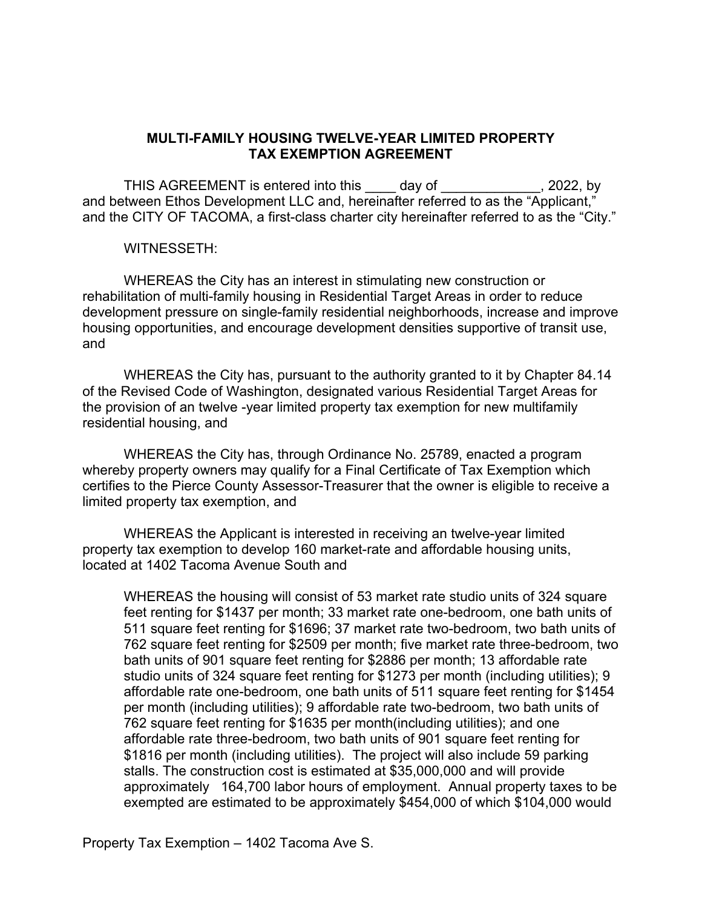# **MULTI-FAMILY HOUSING TWELVE-YEAR LIMITED PROPERTY TAX EXEMPTION AGREEMENT**

THIS AGREEMENT is entered into this \_\_\_\_ day of \_\_\_\_\_\_\_\_\_\_\_\_, 2022, by and between Ethos Development LLC and, hereinafter referred to as the "Applicant," and the CITY OF TACOMA, a first-class charter city hereinafter referred to as the "City."

## WITNESSETH:

 WHEREAS the City has an interest in stimulating new construction or rehabilitation of multi-family housing in Residential Target Areas in order to reduce development pressure on single-family residential neighborhoods, increase and improve housing opportunities, and encourage development densities supportive of transit use, and

 WHEREAS the City has, pursuant to the authority granted to it by Chapter 84.14 of the Revised Code of Washington, designated various Residential Target Areas for the provision of an twelve -year limited property tax exemption for new multifamily residential housing, and

 WHEREAS the City has, through Ordinance No. 25789, enacted a program whereby property owners may qualify for a Final Certificate of Tax Exemption which certifies to the Pierce County Assessor-Treasurer that the owner is eligible to receive a limited property tax exemption, and

 WHEREAS the Applicant is interested in receiving an twelve-year limited property tax exemption to develop 160 market-rate and affordable housing units, located at 1402 Tacoma Avenue South and

WHEREAS the housing will consist of 53 market rate studio units of 324 square feet renting for \$1437 per month; 33 market rate one-bedroom, one bath units of 511 square feet renting for \$1696; 37 market rate two-bedroom, two bath units of 762 square feet renting for \$2509 per month; five market rate three-bedroom, two bath units of 901 square feet renting for \$2886 per month; 13 affordable rate studio units of 324 square feet renting for \$1273 per month (including utilities); 9 affordable rate one-bedroom, one bath units of 511 square feet renting for \$1454 per month (including utilities); 9 affordable rate two-bedroom, two bath units of 762 square feet renting for \$1635 per month(including utilities); and one affordable rate three-bedroom, two bath units of 901 square feet renting for \$1816 per month (including utilities). The project will also include 59 parking stalls. The construction cost is estimated at \$35,000,000 and will provide approximately 164,700 labor hours of employment. Annual property taxes to be exempted are estimated to be approximately \$454,000 of which \$104,000 would

Property Tax Exemption – 1402 Tacoma Ave S.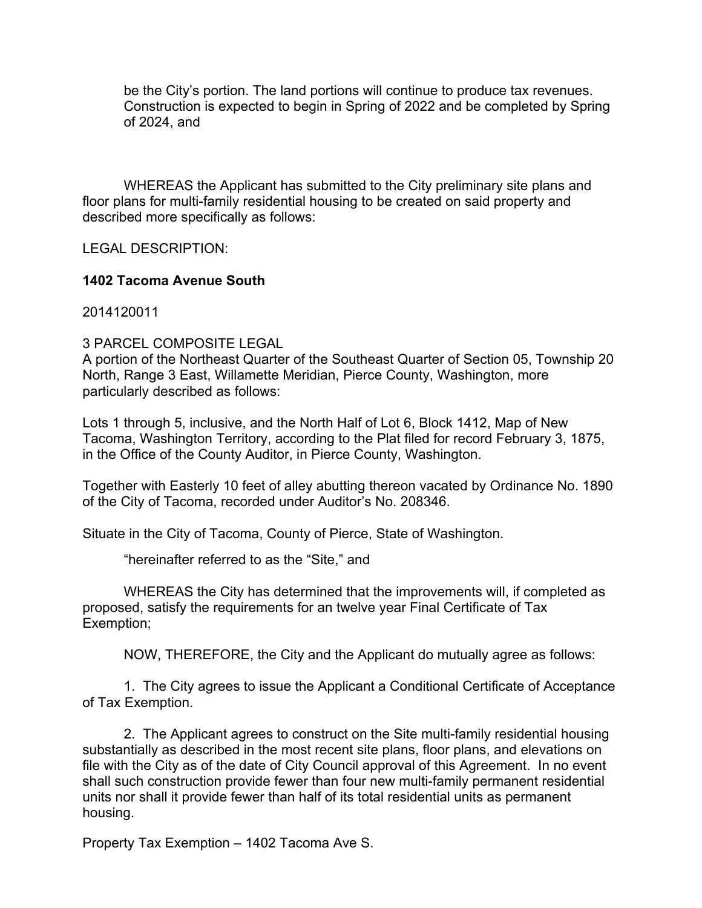be the City's portion. The land portions will continue to produce tax revenues. Construction is expected to begin in Spring of 2022 and be completed by Spring of 2024, and

 WHEREAS the Applicant has submitted to the City preliminary site plans and floor plans for multi-family residential housing to be created on said property and described more specifically as follows:

LEGAL DESCRIPTION:

# **1402 Tacoma Avenue South**

2014120011

## 3 PARCEL COMPOSITE LEGAL

A portion of the Northeast Quarter of the Southeast Quarter of Section 05, Township 20 North, Range 3 East, Willamette Meridian, Pierce County, Washington, more particularly described as follows:

Lots 1 through 5, inclusive, and the North Half of Lot 6, Block 1412, Map of New Tacoma, Washington Territory, according to the Plat filed for record February 3, 1875, in the Office of the County Auditor, in Pierce County, Washington.

Together with Easterly 10 feet of alley abutting thereon vacated by Ordinance No. 1890 of the City of Tacoma, recorded under Auditor's No. 208346.

Situate in the City of Tacoma, County of Pierce, State of Washington.

"hereinafter referred to as the "Site," and

 WHEREAS the City has determined that the improvements will, if completed as proposed, satisfy the requirements for an twelve year Final Certificate of Tax Exemption;

NOW, THEREFORE, the City and the Applicant do mutually agree as follows:

 1. The City agrees to issue the Applicant a Conditional Certificate of Acceptance of Tax Exemption.

 2. The Applicant agrees to construct on the Site multi-family residential housing substantially as described in the most recent site plans, floor plans, and elevations on file with the City as of the date of City Council approval of this Agreement. In no event shall such construction provide fewer than four new multi-family permanent residential units nor shall it provide fewer than half of its total residential units as permanent housing.

Property Tax Exemption – 1402 Tacoma Ave S.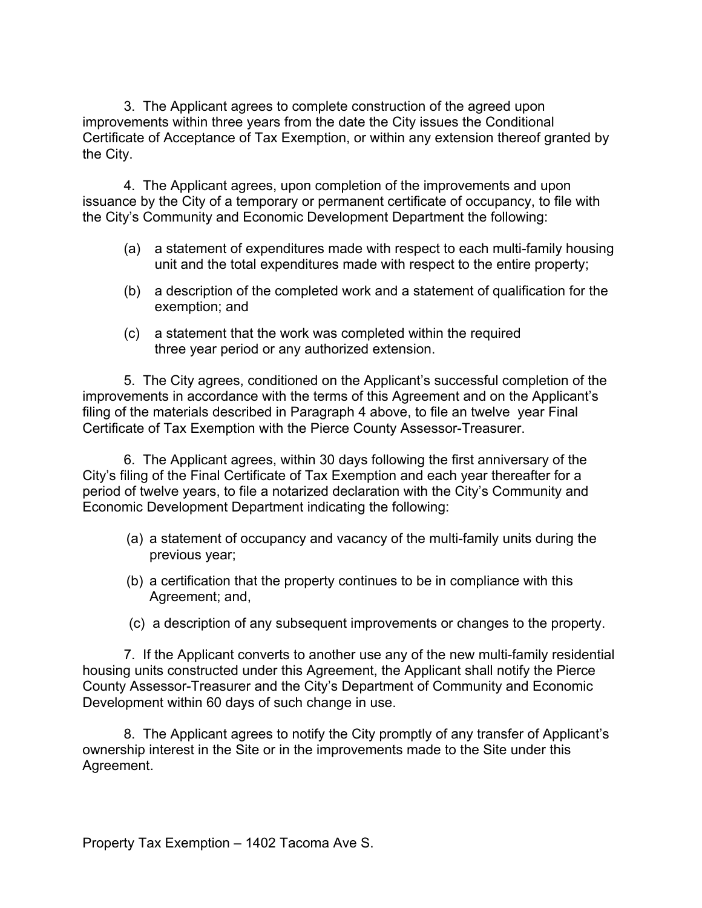3. The Applicant agrees to complete construction of the agreed upon improvements within three years from the date the City issues the Conditional Certificate of Acceptance of Tax Exemption, or within any extension thereof granted by the City.

 4. The Applicant agrees, upon completion of the improvements and upon issuance by the City of a temporary or permanent certificate of occupancy, to file with the City's Community and Economic Development Department the following:

- (a) a statement of expenditures made with respect to each multi-family housing unit and the total expenditures made with respect to the entire property;
- (b) a description of the completed work and a statement of qualification for the exemption; and
- (c) a statement that the work was completed within the required three year period or any authorized extension.

 5. The City agrees, conditioned on the Applicant's successful completion of the improvements in accordance with the terms of this Agreement and on the Applicant's filing of the materials described in Paragraph 4 above, to file an twelve year Final Certificate of Tax Exemption with the Pierce County Assessor-Treasurer.

 6. The Applicant agrees, within 30 days following the first anniversary of the City's filing of the Final Certificate of Tax Exemption and each year thereafter for a period of twelve years, to file a notarized declaration with the City's Community and Economic Development Department indicating the following:

- (a) a statement of occupancy and vacancy of the multi-family units during the previous year;
- (b) a certification that the property continues to be in compliance with this Agreement; and,
- (c) a description of any subsequent improvements or changes to the property.

 7. If the Applicant converts to another use any of the new multi-family residential housing units constructed under this Agreement, the Applicant shall notify the Pierce County Assessor-Treasurer and the City's Department of Community and Economic Development within 60 days of such change in use.

 8. The Applicant agrees to notify the City promptly of any transfer of Applicant's ownership interest in the Site or in the improvements made to the Site under this Agreement.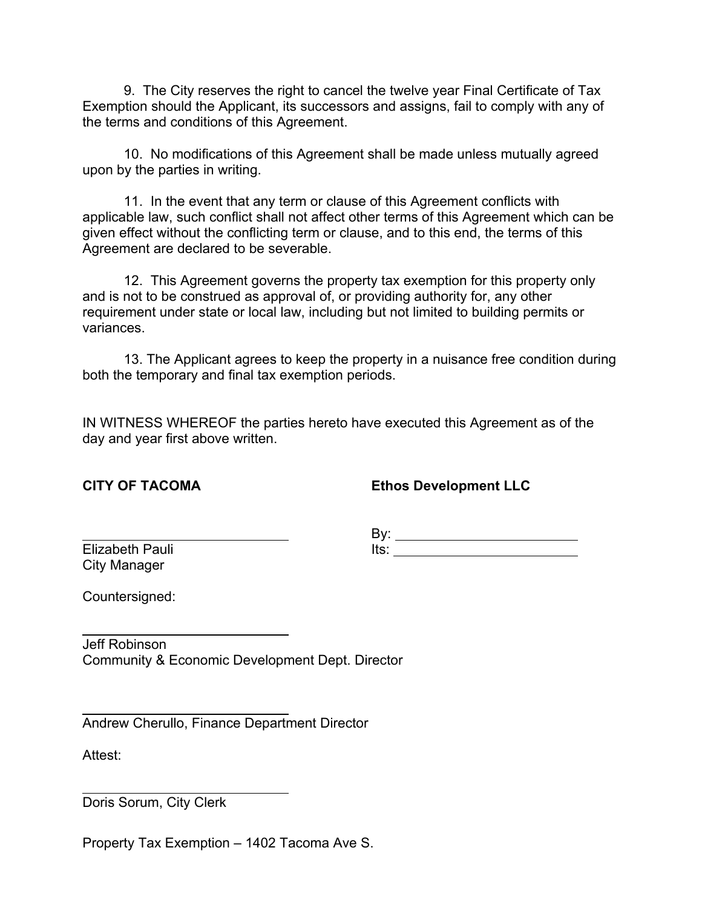9. The City reserves the right to cancel the twelve year Final Certificate of Tax Exemption should the Applicant, its successors and assigns, fail to comply with any of the terms and conditions of this Agreement.

 10. No modifications of this Agreement shall be made unless mutually agreed upon by the parties in writing.

 11. In the event that any term or clause of this Agreement conflicts with applicable law, such conflict shall not affect other terms of this Agreement which can be given effect without the conflicting term or clause, and to this end, the terms of this Agreement are declared to be severable.

 12. This Agreement governs the property tax exemption for this property only and is not to be construed as approval of, or providing authority for, any other requirement under state or local law, including but not limited to building permits or variances.

 13. The Applicant agrees to keep the property in a nuisance free condition during both the temporary and final tax exemption periods.

IN WITNESS WHEREOF the parties hereto have executed this Agreement as of the day and year first above written.

**CITY OF TACOMA Ethos Development LLC** 

City Manager

<u>By:</u> By: Elizabeth Pauli Its:

Countersigned:

l Jeff Robinson Community & Economic Development Dept. Director

l Andrew Cherullo, Finance Department Director

Attest:

l Doris Sorum, City Clerk

Property Tax Exemption – 1402 Tacoma Ave S.